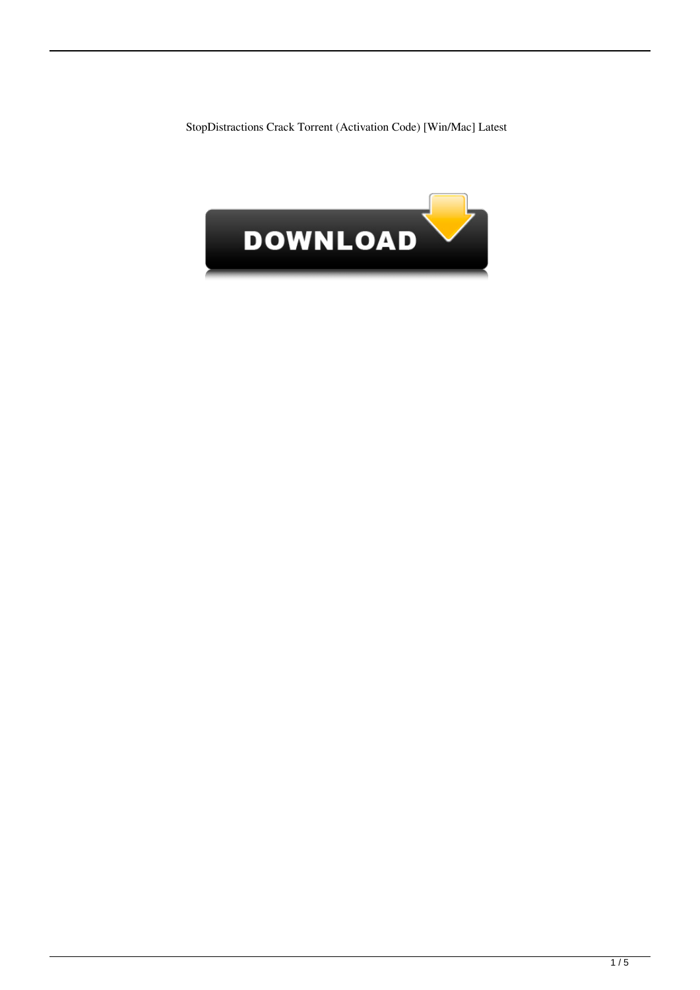StopDistractions Crack Torrent (Activation Code) [Win/Mac] Latest

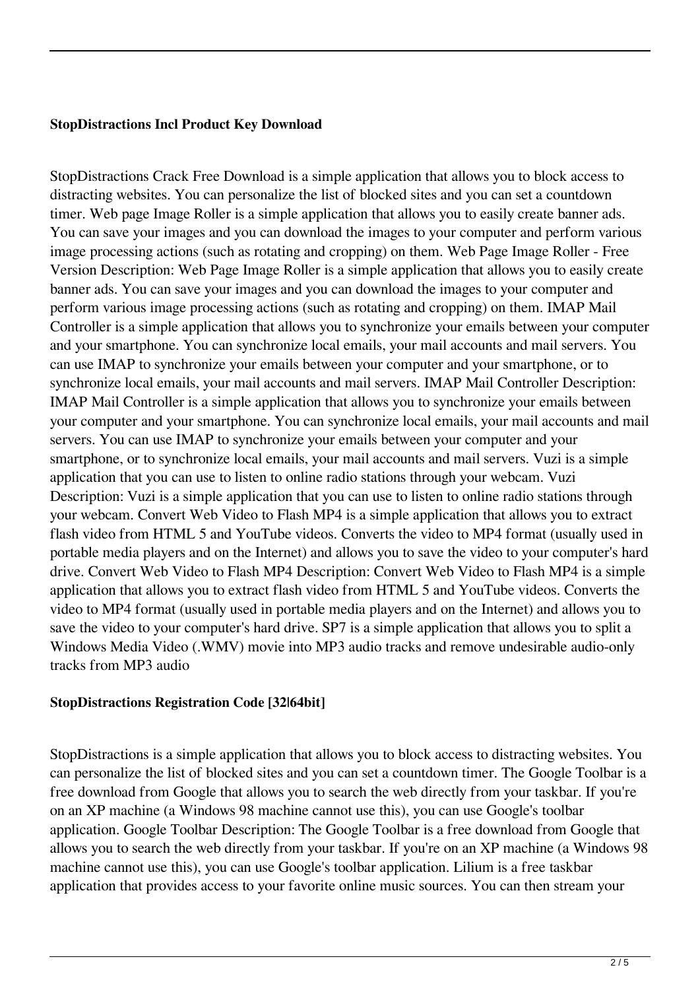## **StopDistractions Incl Product Key Download**

StopDistractions Crack Free Download is a simple application that allows you to block access to distracting websites. You can personalize the list of blocked sites and you can set a countdown timer. Web page Image Roller is a simple application that allows you to easily create banner ads. You can save your images and you can download the images to your computer and perform various image processing actions (such as rotating and cropping) on them. Web Page Image Roller - Free Version Description: Web Page Image Roller is a simple application that allows you to easily create banner ads. You can save your images and you can download the images to your computer and perform various image processing actions (such as rotating and cropping) on them. IMAP Mail Controller is a simple application that allows you to synchronize your emails between your computer and your smartphone. You can synchronize local emails, your mail accounts and mail servers. You can use IMAP to synchronize your emails between your computer and your smartphone, or to synchronize local emails, your mail accounts and mail servers. IMAP Mail Controller Description: IMAP Mail Controller is a simple application that allows you to synchronize your emails between your computer and your smartphone. You can synchronize local emails, your mail accounts and mail servers. You can use IMAP to synchronize your emails between your computer and your smartphone, or to synchronize local emails, your mail accounts and mail servers. Vuzi is a simple application that you can use to listen to online radio stations through your webcam. Vuzi Description: Vuzi is a simple application that you can use to listen to online radio stations through your webcam. Convert Web Video to Flash MP4 is a simple application that allows you to extract flash video from HTML 5 and YouTube videos. Converts the video to MP4 format (usually used in portable media players and on the Internet) and allows you to save the video to your computer's hard drive. Convert Web Video to Flash MP4 Description: Convert Web Video to Flash MP4 is a simple application that allows you to extract flash video from HTML 5 and YouTube videos. Converts the video to MP4 format (usually used in portable media players and on the Internet) and allows you to save the video to your computer's hard drive. SP7 is a simple application that allows you to split a Windows Media Video (.WMV) movie into MP3 audio tracks and remove undesirable audio-only tracks from MP3 audio

# **StopDistractions Registration Code [32|64bit]**

StopDistractions is a simple application that allows you to block access to distracting websites. You can personalize the list of blocked sites and you can set a countdown timer. The Google Toolbar is a free download from Google that allows you to search the web directly from your taskbar. If you're on an XP machine (a Windows 98 machine cannot use this), you can use Google's toolbar application. Google Toolbar Description: The Google Toolbar is a free download from Google that allows you to search the web directly from your taskbar. If you're on an XP machine (a Windows 98 machine cannot use this), you can use Google's toolbar application. Lilium is a free taskbar application that provides access to your favorite online music sources. You can then stream your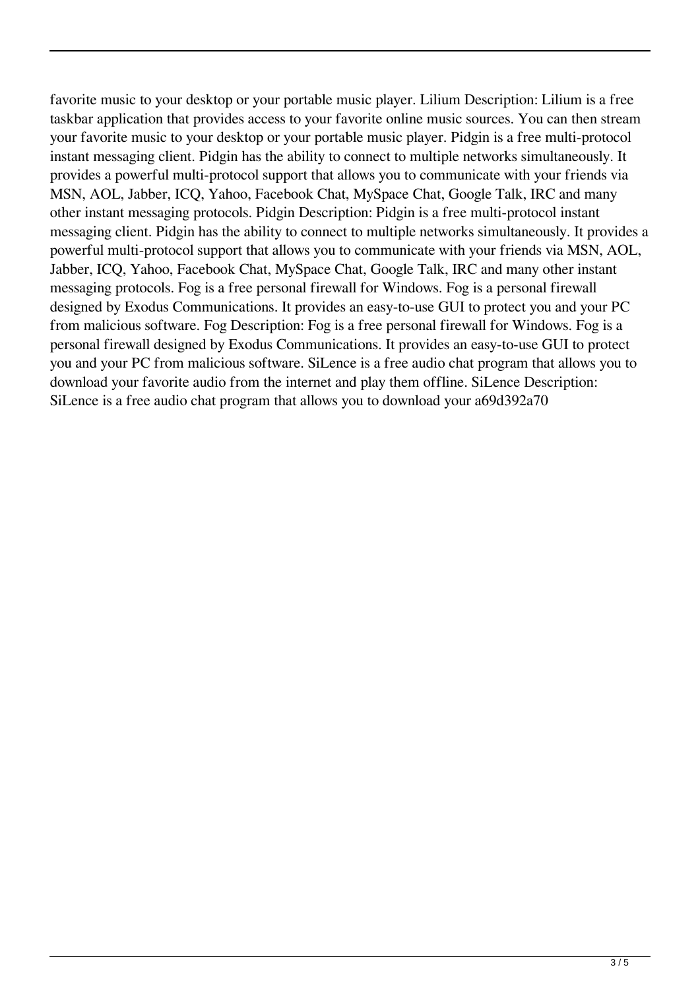favorite music to your desktop or your portable music player. Lilium Description: Lilium is a free taskbar application that provides access to your favorite online music sources. You can then stream your favorite music to your desktop or your portable music player. Pidgin is a free multi-protocol instant messaging client. Pidgin has the ability to connect to multiple networks simultaneously. It provides a powerful multi-protocol support that allows you to communicate with your friends via MSN, AOL, Jabber, ICQ, Yahoo, Facebook Chat, MySpace Chat, Google Talk, IRC and many other instant messaging protocols. Pidgin Description: Pidgin is a free multi-protocol instant messaging client. Pidgin has the ability to connect to multiple networks simultaneously. It provides a powerful multi-protocol support that allows you to communicate with your friends via MSN, AOL, Jabber, ICQ, Yahoo, Facebook Chat, MySpace Chat, Google Talk, IRC and many other instant messaging protocols. Fog is a free personal firewall for Windows. Fog is a personal firewall designed by Exodus Communications. It provides an easy-to-use GUI to protect you and your PC from malicious software. Fog Description: Fog is a free personal firewall for Windows. Fog is a personal firewall designed by Exodus Communications. It provides an easy-to-use GUI to protect you and your PC from malicious software. SiLence is a free audio chat program that allows you to download your favorite audio from the internet and play them offline. SiLence Description: SiLence is a free audio chat program that allows you to download your a69d392a70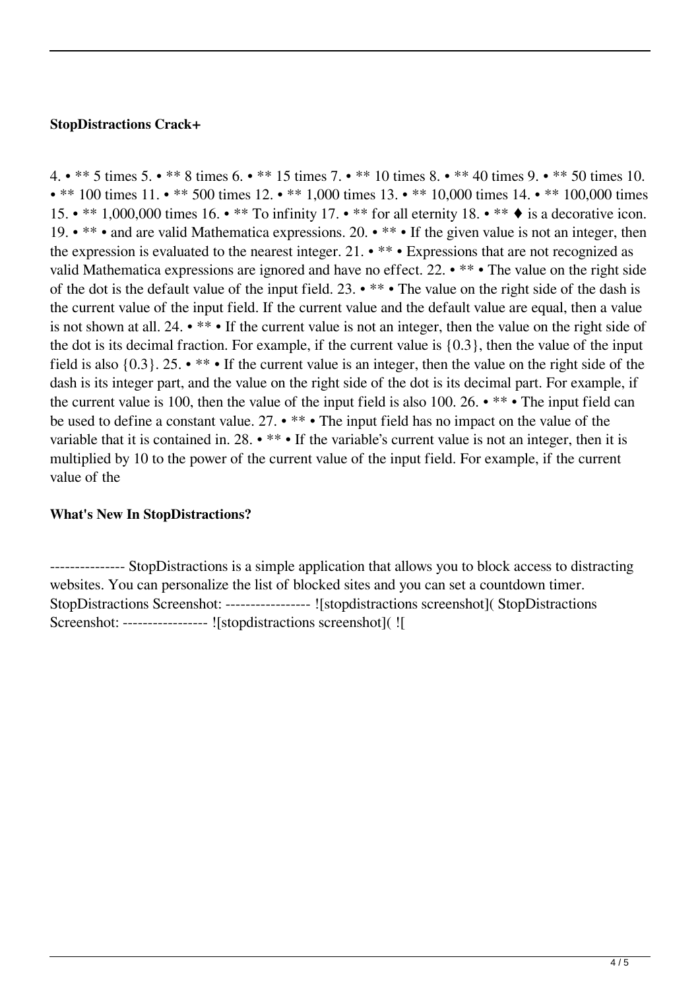## **StopDistractions Crack+**

4. • \*\* 5 times 5. • \*\* 8 times 6. • \*\* 15 times 7. • \*\* 10 times 8. • \*\* 40 times 9. • \*\* 50 times 10. • \*\* 100 times 11. • \*\* 500 times 12. • \*\* 1,000 times 13. • \*\* 10,000 times 14. • \*\* 100,000 times 15. • \*\* 1,000,000 times 16. • \*\* To infinity 17. • \*\* for all eternity 18. • \*\* • is a decorative icon. 19. • \*\* • and are valid Mathematica expressions. 20. • \*\* • If the given value is not an integer, then the expression is evaluated to the nearest integer. 21. • \*\* • Expressions that are not recognized as valid Mathematica expressions are ignored and have no effect. 22. • \*\* • The value on the right side of the dot is the default value of the input field. 23. • \*\* • The value on the right side of the dash is the current value of the input field. If the current value and the default value are equal, then a value is not shown at all. 24. • \*\* • If the current value is not an integer, then the value on the right side of the dot is its decimal fraction. For example, if the current value is {0.3}, then the value of the input field is also {0.3}. 25. • \*\* • If the current value is an integer, then the value on the right side of the dash is its integer part, and the value on the right side of the dot is its decimal part. For example, if the current value is 100, then the value of the input field is also 100. 26. • \*\* • The input field can be used to define a constant value. 27. • \*\* • The input field has no impact on the value of the variable that it is contained in. 28. • \*\* • If the variable's current value is not an integer, then it is multiplied by 10 to the power of the current value of the input field. For example, if the current value of the

# **What's New In StopDistractions?**

--------------- StopDistractions is a simple application that allows you to block access to distracting websites. You can personalize the list of blocked sites and you can set a countdown timer. StopDistractions Screenshot: ----------------- ![stopdistractions screenshot]( StopDistractions Screenshot: ----------------- ![stopdistractions screenshot]( ![